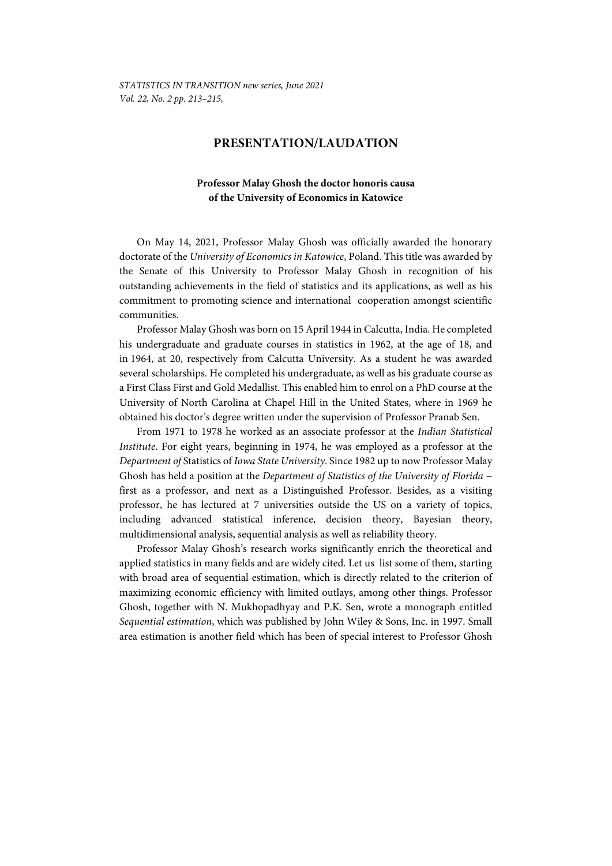## **PRESENTATION/LAUDATION**

## **Professor Malay Ghosh the doctor honoris causa of the University of Economics in Katowice**

On May 14, 2021, Professor Malay Ghosh was officially awarded the honorary doctorate of the *University of Economics in Katowice*, Poland. This title was awarded by the Senate of this University to Professor Malay Ghosh in recognition of his outstanding achievements in the field of statistics and its applications, as well as his commitment to promoting science and international cooperation amongst scientific communities.

Professor Malay Ghosh was born on 15 April 1944 in Calcutta, India. He completed his undergraduate and graduate courses in statistics in 1962, at the age of 18, and in 1964, at 20, respectively from Calcutta University. As a student he was awarded several scholarships. He completed his undergraduate, as well as his graduate course as a First Class First and Gold Medallist. This enabled him to enrol on a PhD course at the University of North Carolina at Chapel Hill in the United States, where in 1969 he obtained his doctor's degree written under the supervision of Professor Pranab Sen.

From 1971 to 1978 he worked as an associate professor at the *Indian Statistical Institute*. For eight years, beginning in 1974, he was employed as a professor at the *Department of* Statistics of *Iowa State University*. Since 1982 up to now Professor Malay Ghosh has held a position at the *Department of Statistics of the University of Florida* − first as a professor, and next as a Distinguished Professor. Besides, as a visiting professor, he has lectured at 7 universities outside the US on a variety of topics, including advanced statistical inference, decision theory, Bayesian theory, multidimensional analysis, sequential analysis as well as reliability theory.

Professor Malay Ghosh's research works significantly enrich the theoretical and applied statistics in many fields and are widely cited. Let us list some of them, starting with broad area of sequential estimation, which is directly related to the criterion of maximizing economic efficiency with limited outlays, among other things. Professor Ghosh, together with N. Mukhopadhyay and P.K. Sen, wrote a monograph entitled *Sequential estimation*, which was published by John Wiley & Sons, Inc. in 1997. Small area estimation is another field which has been of special interest to Professor Ghosh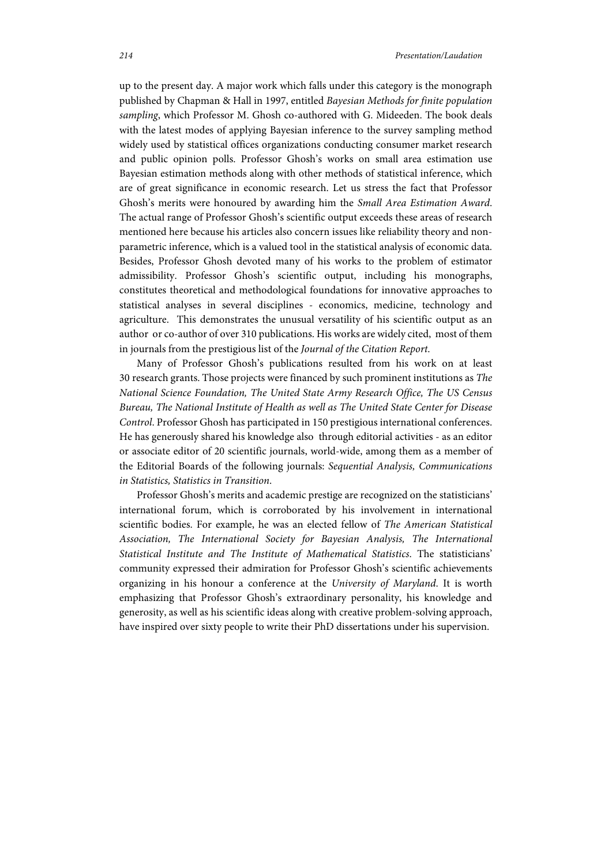up to the present day. A major work which falls under this category is the monograph published by Chapman & Hall in 1997, entitled *Bayesian Methods for finite population sampling*, which Professor M. Ghosh co-authored with G. Mideeden. The book deals with the latest modes of applying Bayesian inference to the survey sampling method widely used by statistical offices organizations conducting consumer market research and public opinion polls. Professor Ghosh's works on small area estimation use Bayesian estimation methods along with other methods of statistical inference, which are of great significance in economic research. Let us stress the fact that Professor Ghosh's merits were honoured by awarding him the *Small Area Estimation Award*. The actual range of Professor Ghosh's scientific output exceeds these areas of research mentioned here because his articles also concern issues like reliability theory and nonparametric inference, which is a valued tool in the statistical analysis of economic data. Besides, Professor Ghosh devoted many of his works to the problem of estimator admissibility. Professor Ghosh's scientific output, including his monographs, constitutes theoretical and methodological foundations for innovative approaches to statistical analyses in several disciplines - economics, medicine, technology and agriculture. This demonstrates the unusual versatility of his scientific output as an author or co-author of over 310 publications. His works are widely cited, most of them in journals from the prestigious list of the *Journal of the Citation Report*.

Many of Professor Ghosh's publications resulted from his work on at least 30 research grants. Those projects were financed by such prominent institutions as *The National Science Foundation, The United State Army Research Office, The US Census Bureau, The National Institute of Health as well as The United State Center for Disease Control*. Professor Ghosh has participated in 150 prestigious international conferences. He has generously shared his knowledge also through editorial activities - as an editor or associate editor of 20 scientific journals, world-wide, among them as a member of the Editorial Boards of the following journals: *Sequential Analysis, Communications in Statistics, Statistics in Transition*.

Professor Ghosh's merits and academic prestige are recognized on the statisticians' international forum, which is corroborated by his involvement in international scientific bodies. For example, he was an elected fellow of *The American Statistical Association, The International Society for Bayesian Analysis, The International Statistical Institute and The Institute of Mathematical Statistics*. The statisticians' community expressed their admiration for Professor Ghosh's scientific achievements organizing in his honour a conference at the *University of Maryland*. It is worth emphasizing that Professor Ghosh's extraordinary personality, his knowledge and generosity, as well as his scientific ideas along with creative problem-solving approach, have inspired over sixty people to write their PhD dissertations under his supervision.